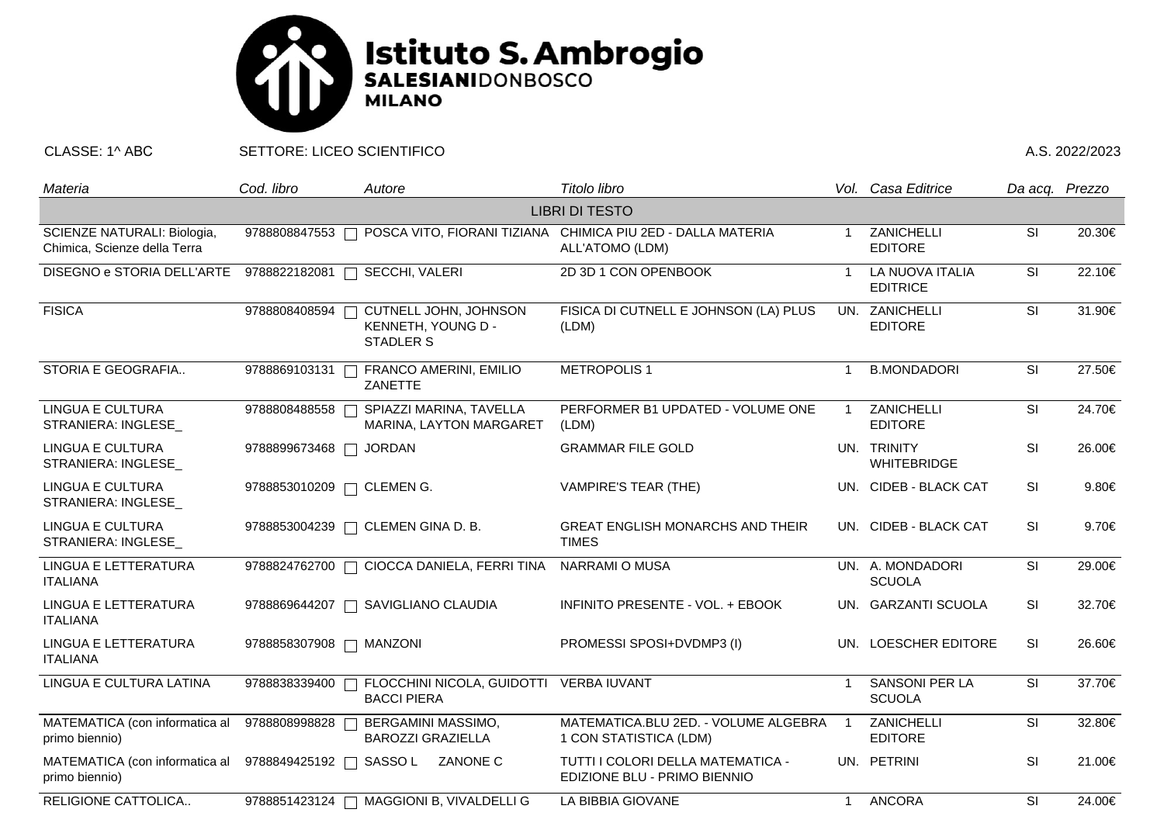

CLASSE: 1^ ABC SETTORE: LICEO SCIENTIFICO A.S. 2022/2023

| Materia                                                     | Cod. libro              | Autore                                                          | Titolo libro                                                                   |                         | Vol. Casa Editrice                     | Da acq. Prezzo |            |  |  |  |  |
|-------------------------------------------------------------|-------------------------|-----------------------------------------------------------------|--------------------------------------------------------------------------------|-------------------------|----------------------------------------|----------------|------------|--|--|--|--|
| <b>LIBRI DI TESTO</b>                                       |                         |                                                                 |                                                                                |                         |                                        |                |            |  |  |  |  |
| SCIENZE NATURALI: Biologia,<br>Chimica, Scienze della Terra | 9788808847553           |                                                                 | POSCA VITO, FIORANI TIZIANA CHIMICA PIU 2ED - DALLA MATERIA<br>ALL'ATOMO (LDM) | $\overline{1}$          | ZANICHELLI<br><b>EDITORE</b>           | SI             | 20.30€     |  |  |  |  |
| DISEGNO e STORIA DELL'ARTE                                  | 9788822182081           | SECCHI, VALERI<br>$\Box$                                        | 2D 3D 1 CON OPENBOOK                                                           | -1                      | LA NUOVA ITALIA<br><b>EDITRICE</b>     | SI             | 22.10€     |  |  |  |  |
| <b>FISICA</b>                                               | 9788808408594           | CUTNELL JOHN, JOHNSON<br>KENNETH, YOUNG D -<br><b>STADLER S</b> | FISICA DI CUTNELL E JOHNSON (LA) PLUS<br>(LDM)                                 |                         | UN. ZANICHELLI<br><b>EDITORE</b>       | SI             | 31.90€     |  |  |  |  |
| STORIA E GEOGRAFIA                                          | 9788869103131           | FRANCO AMERINI, EMILIO<br>ZANETTE                               | <b>METROPOLIS1</b>                                                             | -1                      | <b>B.MONDADORI</b>                     | SI             | 27.50€     |  |  |  |  |
| <b>LINGUA E CULTURA</b><br>STRANIERA: INGLESE               | 9788808488558           | SPIAZZI MARINA, TAVELLA<br>MARINA, LAYTON MARGARET              | PERFORMER B1 UPDATED - VOLUME ONE<br>(LDM)                                     | $\overline{\mathbf{1}}$ | ZANICHELLI<br><b>EDITORE</b>           | SI             | 24.70€     |  |  |  |  |
| <b>LINGUA E CULTURA</b><br>STRANIERA: INGLESE               | 9788899673468           | <b>JORDAN</b>                                                   | <b>GRAMMAR FILE GOLD</b>                                                       |                         | UN. TRINITY<br><b>WHITEBRIDGE</b>      | SI             | 26.00€     |  |  |  |  |
| LINGUA E CULTURA<br>STRANIERA: INGLESE_                     |                         | 9788853010209 □ CLEMEN G.                                       | VAMPIRE'S TEAR (THE)                                                           |                         | UN. CIDEB - BLACK CAT                  | <b>SI</b>      | $9.80 \in$ |  |  |  |  |
| <b>LINGUA E CULTURA</b><br>STRANIERA: INGLESE_              |                         | 9788853004239   CLEMEN GINA D. B.                               | <b>GREAT ENGLISH MONARCHS AND THEIR</b><br><b>TIMES</b>                        |                         | UN. CIDEB - BLACK CAT                  | <b>SI</b>      | 9.70€      |  |  |  |  |
| <b>LINGUA E LETTERATURA</b><br><b>ITALIANA</b>              | 9788824762700           | CIOCCA DANIELA, FERRI TINA                                      | <b>NARRAMI O MUSA</b>                                                          |                         | UN. A. MONDADORI<br><b>SCUOLA</b>      | SI             | 29.00€     |  |  |  |  |
| LINGUA E LETTERATURA<br><b>ITALIANA</b>                     | 9788869644207           | SAVIGLIANO CLAUDIA                                              | INFINITO PRESENTE - VOL. + EBOOK                                               |                         | UN. GARZANTI SCUOLA                    | <b>SI</b>      | 32.70€     |  |  |  |  |
| LINGUA E LETTERATURA<br><b>ITALIANA</b>                     | 9788858307908   MANZONI |                                                                 | PROMESSI SPOSI+DVDMP3 (I)                                                      |                         | UN. LOESCHER EDITORE                   | <b>SI</b>      | 26.60€     |  |  |  |  |
| LINGUA E CULTURA LATINA                                     | 9788838339400           | FLOCCHINI NICOLA, GUIDOTTI<br><b>BACCI PIERA</b>                | <b>VERBA IUVANT</b>                                                            | $\overline{1}$          | <b>SANSONI PER LA</b><br><b>SCUOLA</b> | SI             | 37.70€     |  |  |  |  |
| MATEMATICA (con informatica al<br>primo biennio)            | 9788808998828           | BERGAMINI MASSIMO,<br><b>BAROZZI GRAZIELLA</b>                  | MATEMATICA.BLU 2ED. - VOLUME ALGEBRA<br>1 CON STATISTICA (LDM)                 | $\overline{\mathbf{1}}$ | ZANICHELLI<br><b>EDITORE</b>           | SI             | 32.80€     |  |  |  |  |
| MATEMATICA (con informatica al<br>primo biennio)            |                         | 9788849425192 □ SASSO L ZANONE C                                | TUTTI I COLORI DELLA MATEMATICA -<br>EDIZIONE BLU - PRIMO BIENNIO              |                         | UN. PETRINI                            | <b>SI</b>      | 21.00€     |  |  |  |  |
| RELIGIONE CATTOLICA                                         |                         | 9788851423124   MAGGIONI B, VIVALDELLI G                        | LA BIBBIA GIOVANE                                                              | $\mathbf 1$             | <b>ANCORA</b>                          | SI             | 24.00€     |  |  |  |  |